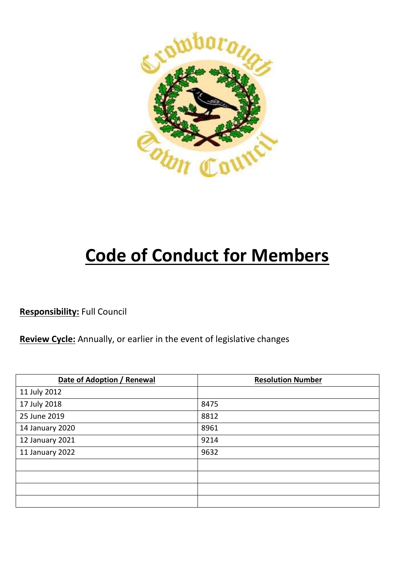

# **Code of Conduct for Members**

**Responsibility:** Full Council

**Review Cycle:** Annually, or earlier in the event of legislative changes

| Date of Adoption / Renewal | <b>Resolution Number</b> |
|----------------------------|--------------------------|
| 11 July 2012               |                          |
| 17 July 2018               | 8475                     |
| 25 June 2019               | 8812                     |
| 14 January 2020            | 8961                     |
| 12 January 2021            | 9214                     |
| 11 January 2022            | 9632                     |
|                            |                          |
|                            |                          |
|                            |                          |
|                            |                          |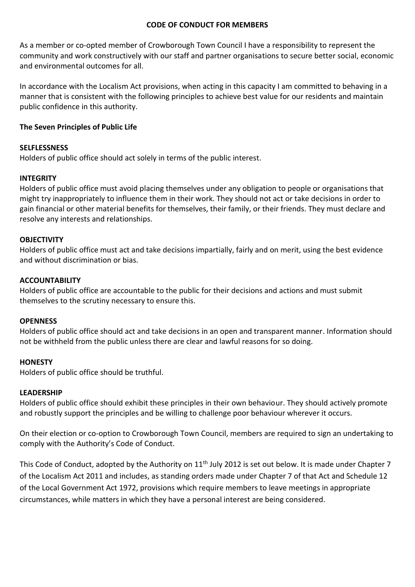#### **CODE OF CONDUCT FOR MEMBERS**

As a member or co-opted member of Crowborough Town Council I have a responsibility to represent the community and work constructively with our staff and partner organisations to secure better social, economic and environmental outcomes for all.

In accordance with the Localism Act provisions, when acting in this capacity I am committed to behaving in a manner that is consistent with the following principles to achieve best value for our residents and maintain public confidence in this authority.

### **The Seven Principles of Public Life**

#### **SELFLESSNESS**

Holders of public office should act solely in terms of the public interest.

#### **INTEGRITY**

Holders of public office must avoid placing themselves under any obligation to people or organisations that might try inappropriately to influence them in their work. They should not act or take decisions in order to gain financial or other material benefits for themselves, their family, or their friends. They must declare and resolve any interests and relationships.

#### **OBJECTIVITY**

Holders of public office must act and take decisions impartially, fairly and on merit, using the best evidence and without discrimination or bias.

#### **ACCOUNTABILITY**

Holders of public office are accountable to the public for their decisions and actions and must submit themselves to the scrutiny necessary to ensure this.

#### **OPENNESS**

Holders of public office should act and take decisions in an open and transparent manner. Information should not be withheld from the public unless there are clear and lawful reasons for so doing.

#### **HONESTY**

Holders of public office should be truthful.

#### **LEADERSHIP**

Holders of public office should exhibit these principles in their own behaviour. They should actively promote and robustly support the principles and be willing to challenge poor behaviour wherever it occurs.

On their election or co-option to Crowborough Town Council, members are required to sign an undertaking to comply with the Authority's Code of Conduct.

This Code of Conduct, adopted by the Authority on 11<sup>th</sup> July 2012 is set out below. It is made under Chapter 7 of the Localism Act 2011 and includes, as standing orders made under Chapter 7 of that Act and Schedule 12 of the Local Government Act 1972, provisions which require members to leave meetings in appropriate circumstances, while matters in which they have a personal interest are being considered.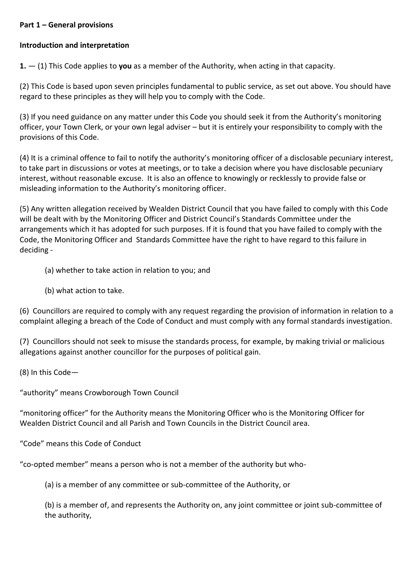### **Part 1 – General provisions**

#### **Introduction and interpretation**

**1.** — (1) This Code applies to **you** as a member of the Authority, when acting in that capacity.

(2) This Code is based upon seven principles fundamental to public service, as set out above. You should have regard to these principles as they will help you to comply with the Code.

(3) If you need guidance on any matter under this Code you should seek it from the Authority's monitoring officer, your Town Clerk, or your own legal adviser – but it is entirely your responsibility to comply with the provisions of this Code.

(4) It is a criminal offence to fail to notify the authority's monitoring officer of a disclosable pecuniary interest, to take part in discussions or votes at meetings, or to take a decision where you have disclosable pecuniary interest, without reasonable excuse. It is also an offence to knowingly or recklessly to provide false or misleading information to the Authority's monitoring officer.

(5) Any written allegation received by Wealden District Council that you have failed to comply with this Code will be dealt with by the Monitoring Officer and District Council's Standards Committee under the arrangements which it has adopted for such purposes. If it is found that you have failed to comply with the Code, the Monitoring Officer and Standards Committee have the right to have regard to this failure in deciding -

- (a) whether to take action in relation to you; and
- (b) what action to take.

(6) Councillors are required to comply with any request regarding the provision of information in relation to a complaint alleging a breach of the Code of Conduct and must comply with any formal standards investigation.

(7) Councillors should not seek to misuse the standards process, for example, by making trivial or malicious allegations against another councillor for the purposes of political gain.

(8) In this Code—

"authority" means Crowborough Town Council

"monitoring officer" for the Authority means the Monitoring Officer who is the Monitoring Officer for Wealden District Council and all Parish and Town Councils in the District Council area.

"Code" means this Code of Conduct

"co-opted member" means a person who is not a member of the authority but who-

(a) is a member of any committee or sub-committee of the Authority, or

(b) is a member of, and represents the Authority on, any joint committee or joint sub-committee of the authority,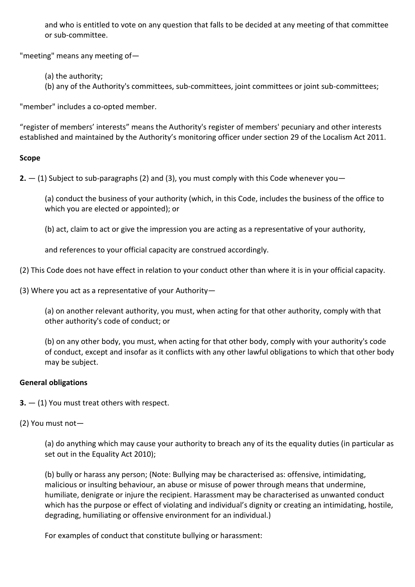and who is entitled to vote on any question that falls to be decided at any meeting of that committee or sub-committee.

"meeting" means any meeting of—

(a) the authority;

(b) any of the Authority's committees, sub-committees, joint committees or joint sub-committees;

"member" includes a co-opted member.

"register of members' interests" means the Authority's register of members' pecuniary and other interests established and maintained by the Authority's monitoring officer under section 29 of the Localism Act 2011.

## **Scope**

**2.** — (1) Subject to sub-paragraphs (2) and (3), you must comply with this Code whenever you—

(a) conduct the business of your authority (which, in this Code, includes the business of the office to which you are elected or appointed); or

(b) act, claim to act or give the impression you are acting as a representative of your authority,

and references to your official capacity are construed accordingly.

- (2) This Code does not have effect in relation to your conduct other than where it is in your official capacity.
- (3) Where you act as a representative of your Authority—

(a) on another relevant authority, you must, when acting for that other authority, comply with that other authority's code of conduct; or

(b) on any other body, you must, when acting for that other body, comply with your authority's code of conduct, except and insofar as it conflicts with any other lawful obligations to which that other body may be subject.

## **General obligations**

**3.** — (1) You must treat others with respect.

(2) You must not—

(a) do anything which may cause your authority to breach any of its the equality duties (in particular as set out in the Equality Act 2010);

(b) bully or harass any person; (Note: Bullying may be characterised as: offensive, intimidating, malicious or insulting behaviour, an abuse or misuse of power through means that undermine, humiliate, denigrate or injure the recipient. Harassment may be characterised as unwanted conduct which has the purpose or effect of violating and individual's dignity or creating an intimidating, hostile, degrading, humiliating or offensive environment for an individual.)

For examples of conduct that constitute bullying or harassment: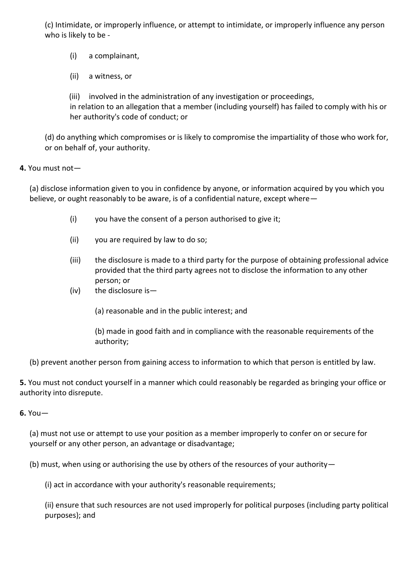(c) Intimidate, or improperly influence, or attempt to intimidate, or improperly influence any person who is likely to be -

(i) a complainant,

(ii) a witness, or

(iii) involved in the administration of any investigation or proceedings, in relation to an allegation that a member (including yourself) has failed to comply with his or her authority's code of conduct; or

(d) do anything which compromises or is likely to compromise the impartiality of those who work for, or on behalf of, your authority.

**4.** You must not—

(a) disclose information given to you in confidence by anyone, or information acquired by you which you believe, or ought reasonably to be aware, is of a confidential nature, except where—

- (i) you have the consent of a person authorised to give it;
- (ii) you are required by law to do so;
- (iii) the disclosure is made to a third party for the purpose of obtaining professional advice provided that the third party agrees not to disclose the information to any other person; or
- (iv) the disclosure is—

(a) reasonable and in the public interest; and

(b) made in good faith and in compliance with the reasonable requirements of the authority;

(b) prevent another person from gaining access to information to which that person is entitled by law.

**5.** You must not conduct yourself in a manner which could reasonably be regarded as bringing your office or authority into disrepute.

**6.** You—

(a) must not use or attempt to use your position as a member improperly to confer on or secure for yourself or any other person, an advantage or disadvantage;

(b) must, when using or authorising the use by others of the resources of your authority—

(i) act in accordance with your authority's reasonable requirements;

(ii) ensure that such resources are not used improperly for political purposes (including party political purposes); and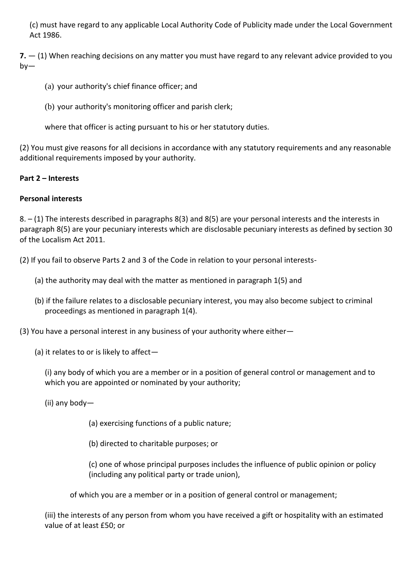(c) must have regard to any applicable Local Authority Code of Publicity made under the Local Government Act 1986.

**7.** — (1) When reaching decisions on any matter you must have regard to any relevant advice provided to you  $bv -$ 

- (a) your authority's chief finance officer; and
- (b) your authority's monitoring officer and parish clerk;

where that officer is acting pursuant to his or her statutory duties.

(2) You must give reasons for all decisions in accordance with any statutory requirements and any reasonable additional requirements imposed by your authority.

## **Part 2 – Interests**

## **Personal interests**

8. – (1) The interests described in paragraphs 8(3) and 8(5) are your personal interests and the interests in paragraph 8(5) are your pecuniary interests which are disclosable pecuniary interests as defined by section 30 of the Localism Act 2011.

(2) If you fail to observe Parts 2 and 3 of the Code in relation to your personal interests-

- (a) the authority may deal with the matter as mentioned in paragraph 1(5) and
- (b) if the failure relates to a disclosable pecuniary interest, you may also become subject to criminal proceedings as mentioned in paragraph 1(4).

(3) You have a personal interest in any business of your authority where either—

(a) it relates to or is likely to affect—

(i) any body of which you are a member or in a position of general control or management and to which you are appointed or nominated by your authority;

(ii) any body—

(a) exercising functions of a public nature;

(b) directed to charitable purposes; or

(c) one of whose principal purposes includes the influence of public opinion or policy (including any political party or trade union),

of which you are a member or in a position of general control or management;

(iii) the interests of any person from whom you have received a gift or hospitality with an estimated value of at least £50; or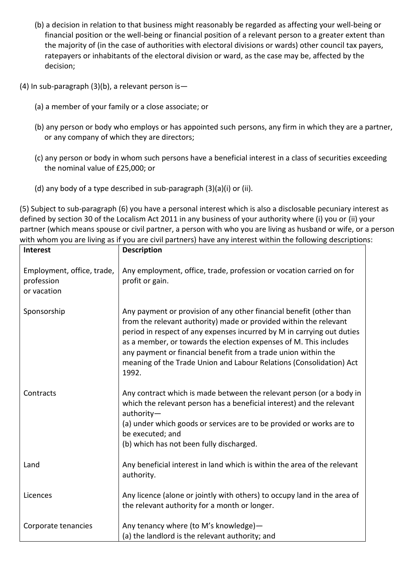- (b) a decision in relation to that business might reasonably be regarded as affecting your well-being or financial position or the well-being or financial position of a relevant person to a greater extent than the majority of (in the case of authorities with electoral divisions or wards) other council tax payers, ratepayers or inhabitants of the electoral division or ward, as the case may be, affected by the decision;
- (4) In sub-paragraph (3)(b), a relevant person is—
	- (a) a member of your family or a close associate; or
	- (b) any person or body who employs or has appointed such persons, any firm in which they are a partner, or any company of which they are directors;
	- (c) any person or body in whom such persons have a beneficial interest in a class of securities exceeding the nominal value of £25,000; or
	- (d) any body of a type described in sub-paragraph (3)(a)(i) or (ii).

(5) Subject to sub-paragraph (6) you have a personal interest which is also a disclosable pecuniary interest as defined by section 30 of the Localism Act 2011 in any business of your authority where (i) you or (ii) your partner (which means spouse or civil partner, a person with who you are living as husband or wife, or a person with whom you are living as if you are civil partners) have any interest within the following descriptions:

| <b>Interest</b>                                         | <b>Description</b>                                                                                                                                                                                                                                                                                                                                                                                                                        |
|---------------------------------------------------------|-------------------------------------------------------------------------------------------------------------------------------------------------------------------------------------------------------------------------------------------------------------------------------------------------------------------------------------------------------------------------------------------------------------------------------------------|
| Employment, office, trade,<br>profession<br>or vacation | Any employment, office, trade, profession or vocation carried on for<br>profit or gain.                                                                                                                                                                                                                                                                                                                                                   |
| Sponsorship                                             | Any payment or provision of any other financial benefit (other than<br>from the relevant authority) made or provided within the relevant<br>period in respect of any expenses incurred by M in carrying out duties<br>as a member, or towards the election expenses of M. This includes<br>any payment or financial benefit from a trade union within the<br>meaning of the Trade Union and Labour Relations (Consolidation) Act<br>1992. |
| Contracts                                               | Any contract which is made between the relevant person (or a body in<br>which the relevant person has a beneficial interest) and the relevant<br>authority-<br>(a) under which goods or services are to be provided or works are to<br>be executed; and<br>(b) which has not been fully discharged.                                                                                                                                       |
| Land                                                    | Any beneficial interest in land which is within the area of the relevant<br>authority.                                                                                                                                                                                                                                                                                                                                                    |
| Licences                                                | Any licence (alone or jointly with others) to occupy land in the area of<br>the relevant authority for a month or longer.                                                                                                                                                                                                                                                                                                                 |
| Corporate tenancies                                     | Any tenancy where (to M's knowledge)-<br>(a) the landlord is the relevant authority; and                                                                                                                                                                                                                                                                                                                                                  |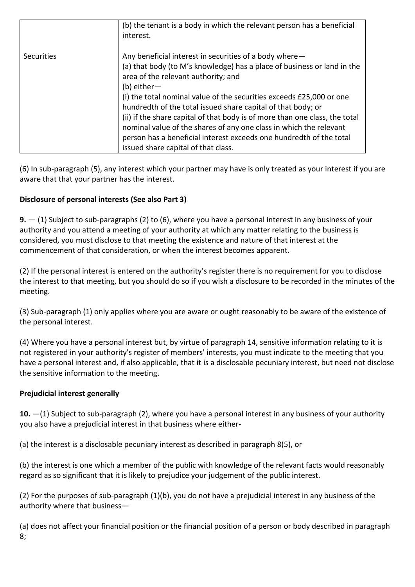|            | (b) the tenant is a body in which the relevant person has a beneficial<br>interest.                                                                                                                                                                                                                                                                                                                              |
|------------|------------------------------------------------------------------------------------------------------------------------------------------------------------------------------------------------------------------------------------------------------------------------------------------------------------------------------------------------------------------------------------------------------------------|
| Securities | Any beneficial interest in securities of a body where-<br>(a) that body (to M's knowledge) has a place of business or land in the<br>area of the relevant authority; and<br>$(b)$ either-<br>(i) the total nominal value of the securities exceeds £25,000 or one<br>hundredth of the total issued share capital of that body; or<br>(ii) if the share capital of that body is of more than one class, the total |
|            | nominal value of the shares of any one class in which the relevant                                                                                                                                                                                                                                                                                                                                               |
|            | person has a beneficial interest exceeds one hundredth of the total                                                                                                                                                                                                                                                                                                                                              |
|            | issued share capital of that class.                                                                                                                                                                                                                                                                                                                                                                              |

(6) In sub-paragraph (5), any interest which your partner may have is only treated as your interest if you are aware that that your partner has the interest.

# **Disclosure of personal interests (See also Part 3)**

**9.** — (1) Subject to sub-paragraphs (2) to (6), where you have a personal interest in any business of your authority and you attend a meeting of your authority at which any matter relating to the business is considered, you must disclose to that meeting the existence and nature of that interest at the commencement of that consideration, or when the interest becomes apparent.

(2) If the personal interest is entered on the authority's register there is no requirement for you to disclose the interest to that meeting, but you should do so if you wish a disclosure to be recorded in the minutes of the meeting.

(3) Sub-paragraph (1) only applies where you are aware or ought reasonably to be aware of the existence of the personal interest.

(4) Where you have a personal interest but, by virtue of paragraph 14, sensitive information relating to it is not registered in your authority's register of members' interests, you must indicate to the meeting that you have a personal interest and, if also applicable, that it is a disclosable pecuniary interest, but need not disclose the sensitive information to the meeting.

# **Prejudicial interest generally**

**10.** —(1) Subject to sub-paragraph (2), where you have a personal interest in any business of your authority you also have a prejudicial interest in that business where either-

(a) the interest is a disclosable pecuniary interest as described in paragraph 8(5), or

(b) the interest is one which a member of the public with knowledge of the relevant facts would reasonably regard as so significant that it is likely to prejudice your judgement of the public interest.

(2) For the purposes of sub-paragraph (1)(b), you do not have a prejudicial interest in any business of the authority where that business—

(a) does not affect your financial position or the financial position of a person or body described in paragraph 8;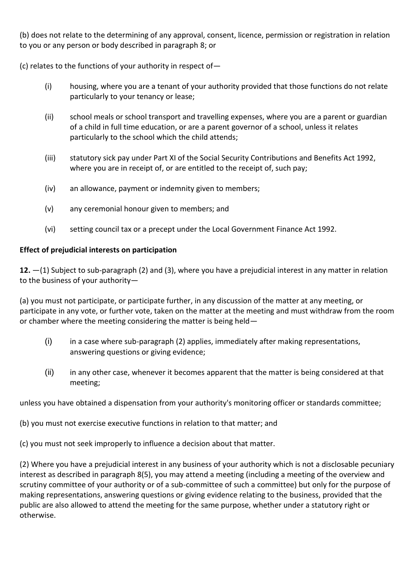(b) does not relate to the determining of any approval, consent, licence, permission or registration in relation to you or any person or body described in paragraph 8; or

(c) relates to the functions of your authority in respect of—

- (i) housing, where you are a tenant of your authority provided that those functions do not relate particularly to your tenancy or lease;
- (ii) school meals or school transport and travelling expenses, where you are a parent or guardian of a child in full time education, or are a parent governor of a school, unless it relates particularly to the school which the child attends;
- (iii) statutory sick pay under Part XI of the Social Security Contributions and Benefits Act 1992, where you are in receipt of, or are entitled to the receipt of, such pay;
- (iv) an allowance, payment or indemnity given to members;
- (v) any ceremonial honour given to members; and
- (vi) setting council tax or a precept under the Local Government Finance Act 1992.

## **Effect of prejudicial interests on participation**

**12.** —(1) Subject to sub-paragraph (2) and (3), where you have a prejudicial interest in any matter in relation to the business of your authority—

(a) you must not participate, or participate further, in any discussion of the matter at any meeting, or participate in any vote, or further vote, taken on the matter at the meeting and must withdraw from the room or chamber where the meeting considering the matter is being held—

- (i) in a case where sub-paragraph (2) applies, immediately after making representations, answering questions or giving evidence;
- (ii) in any other case, whenever it becomes apparent that the matter is being considered at that meeting;

unless you have obtained a dispensation from your authority's monitoring officer or standards committee;

(b) you must not exercise executive functions in relation to that matter; and

(c) you must not seek improperly to influence a decision about that matter.

(2) Where you have a prejudicial interest in any business of your authority which is not a disclosable pecuniary interest as described in paragraph 8(5), you may attend a meeting (including a meeting of the overview and scrutiny committee of your authority or of a sub-committee of such a committee) but only for the purpose of making representations, answering questions or giving evidence relating to the business, provided that the public are also allowed to attend the meeting for the same purpose, whether under a statutory right or otherwise.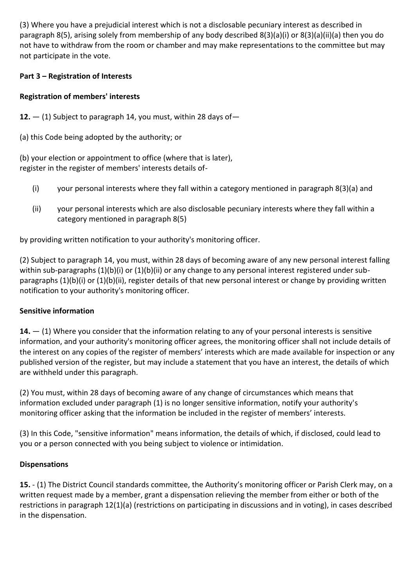(3) Where you have a prejudicial interest which is not a disclosable pecuniary interest as described in paragraph 8(5), arising solely from membership of any body described 8(3)(a)(i) or 8(3)(a)(ii)(a) then you do not have to withdraw from the room or chamber and may make representations to the committee but may not participate in the vote.

# **Part 3 – Registration of Interests**

# **Registration of members' interests**

- **12.** (1) Subject to paragraph 14, you must, within 28 days of—
- (a) this Code being adopted by the authority; or

(b) your election or appointment to office (where that is later), register in the register of members' interests details of-

- (i) your personal interests where they fall within a category mentioned in paragraph 8(3)(a) and
- (ii) your personal interests which are also disclosable pecuniary interests where they fall within a category mentioned in paragraph 8(5)

by providing written notification to your authority's monitoring officer.

(2) Subject to paragraph 14, you must, within 28 days of becoming aware of any new personal interest falling within sub-paragraphs (1)(b)(i) or (1)(b)(ii) or any change to any personal interest registered under subparagraphs (1)(b)(i) or (1)(b)(ii), register details of that new personal interest or change by providing written notification to your authority's monitoring officer.

# **Sensitive information**

**14.** — (1) Where you consider that the information relating to any of your personal interests is sensitive information, and your authority's monitoring officer agrees, the monitoring officer shall not include details of the interest on any copies of the register of members' interests which are made available for inspection or any published version of the register, but may include a statement that you have an interest, the details of which are withheld under this paragraph.

(2) You must, within 28 days of becoming aware of any change of circumstances which means that information excluded under paragraph (1) is no longer sensitive information, notify your authority's monitoring officer asking that the information be included in the register of members' interests.

(3) In this Code, "sensitive information" means information, the details of which, if disclosed, could lead to you or a person connected with you being subject to violence or intimidation.

# **Dispensations**

**15.** - (1) The District Council standards committee, the Authority's monitoring officer or Parish Clerk may, on a written request made by a member, grant a dispensation relieving the member from either or both of the restrictions in paragraph 12(1)(a) (restrictions on participating in discussions and in voting), in cases described in the dispensation.